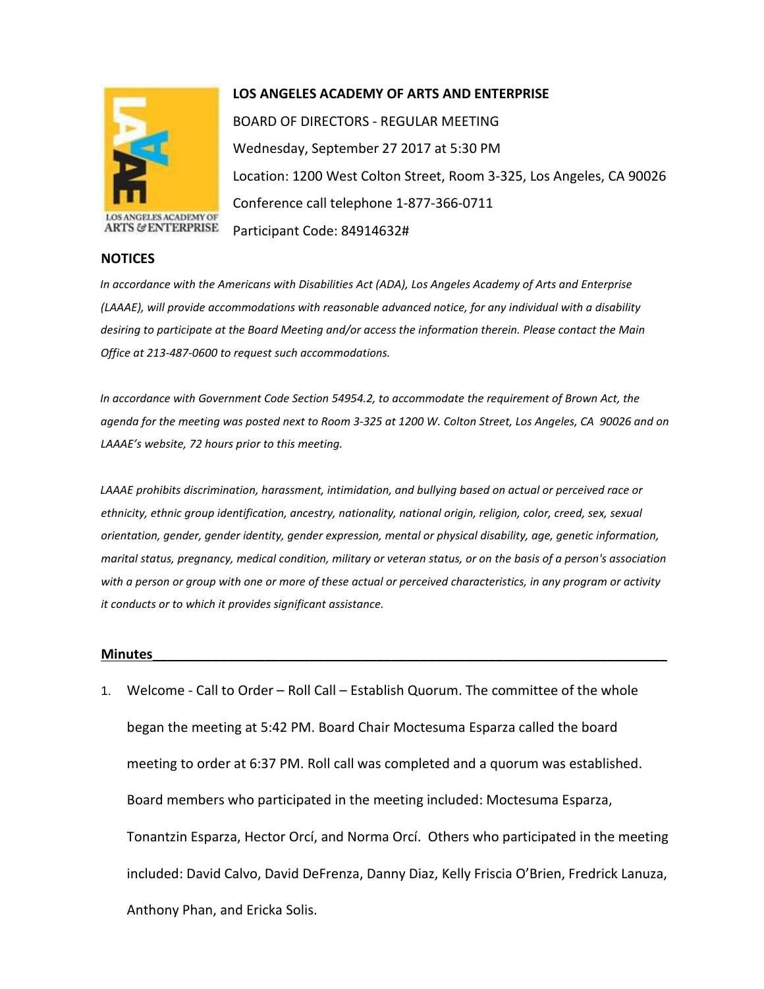

## **LOS ANGELES ACADEMY OF ARTS AND ENTERPRISE**

BOARD OF DIRECTORS - REGULAR MEETING Wednesday, September 27 2017 at 5:30 PM Location: 1200 West Colton Street, Room 3-325, Los Angeles, CA 90026 Conference call telephone 1-877-366-0711 Participant Code: 84914632#

## **ARTS & ENTERPRISE**

**NOTICES**

*In accordance with the Americans with Disabilities Act (ADA), Los Angeles Academy of Arts and Enterprise (LAAAE), will provide accommodations with reasonable advanced notice, for any individual with a disability desiring to participate at the Board Meeting and/or access the information therein. Please contact the Main Office at 213-487-0600 to request such accommodations.* 

*In accordance with Government Code Section 54954.2, to accommodate the requirement of Brown Act, the agenda for the meeting was posted next to Room 3-325 at 1200 W. Colton Street, Los Angeles, CA 90026 and on LAAAE's website, 72 hours prior to this meeting.* 

*LAAAE prohibits discrimination, harassment, intimidation, and bullying based on actual or perceived race or ethnicity, ethnic group identification, ancestry, nationality, national origin, religion, color, creed, sex, sexual orientation, gender, gender identity, gender expression, mental or physical disability, age, genetic information, marital status, pregnancy, medical condition, military or veteran status, or on the basis of a person's association with a person or group with one or more of these actual or perceived characteristics, in any program or activity it conducts or to which it provides significant assistance.* 

## **Minutes\_\_\_\_\_\_\_\_\_\_\_\_\_\_\_\_\_\_\_\_\_\_\_\_\_\_\_\_\_\_\_\_\_\_\_\_\_\_\_\_\_\_\_\_\_\_\_\_\_\_\_\_\_\_\_\_\_\_\_\_\_\_\_\_\_\_\_\_\_**

1. Welcome - Call to Order – Roll Call – Establish Quorum. The committee of the whole began the meeting at 5:42 PM. Board Chair Moctesuma Esparza called the board meeting to order at 6:37 PM. Roll call was completed and a quorum was established. Board members who participated in the meeting included: Moctesuma Esparza, Tonantzin Esparza, Hector Orcí, and Norma Orcí. Others who participated in the meeting included: David Calvo, David DeFrenza, Danny Diaz, Kelly Friscia O'Brien, Fredrick Lanuza, Anthony Phan, and Ericka Solis.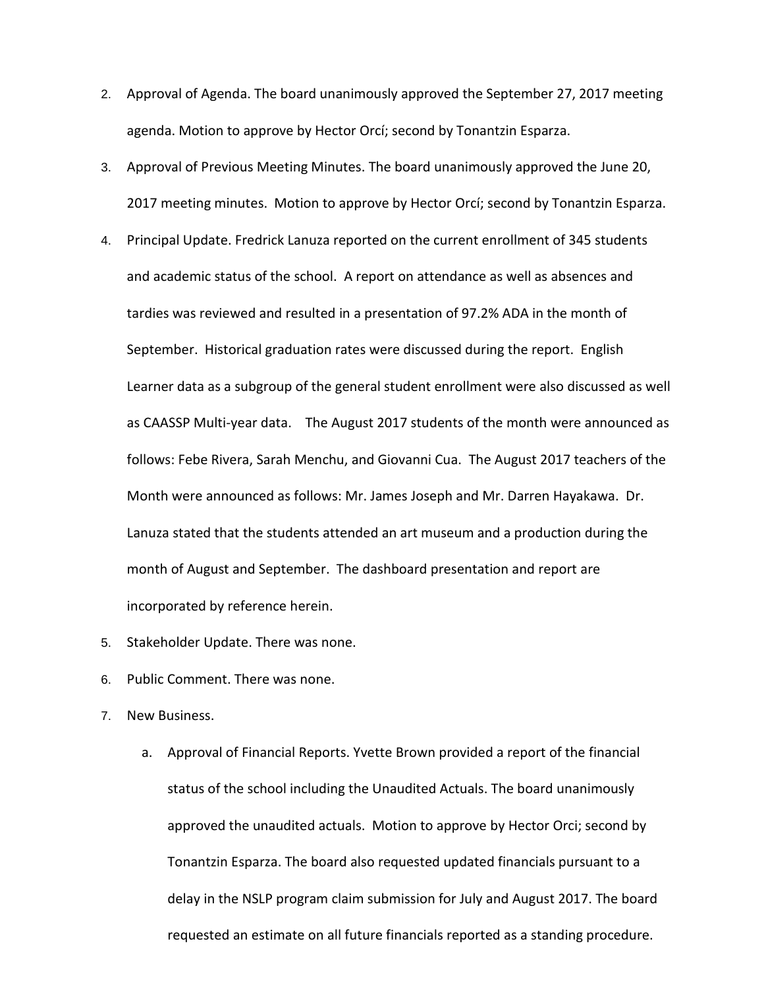- 2. Approval of Agenda. The board unanimously approved the September 27, 2017 meeting agenda. Motion to approve by Hector Orcí; second by Tonantzin Esparza.
- 3. Approval of Previous Meeting Minutes. The board unanimously approved the June 20, 2017 meeting minutes. Motion to approve by Hector Orcí; second by Tonantzin Esparza.
- 4. Principal Update. Fredrick Lanuza reported on the current enrollment of 345 students and academic status of the school. A report on attendance as well as absences and tardies was reviewed and resulted in a presentation of 97.2% ADA in the month of September. Historical graduation rates were discussed during the report. English Learner data as a subgroup of the general student enrollment were also discussed as well as CAASSP Multi-year data. The August 2017 students of the month were announced as follows: Febe Rivera, Sarah Menchu, and Giovanni Cua. The August 2017 teachers of the Month were announced as follows: Mr. James Joseph and Mr. Darren Hayakawa. Dr. Lanuza stated that the students attended an art museum and a production during the month of August and September. The dashboard presentation and report are incorporated by reference herein.
- 5. Stakeholder Update. There was none.
- 6. Public Comment. There was none.
- 7. New Business.
	- a. Approval of Financial Reports. Yvette Brown provided a report of the financial status of the school including the Unaudited Actuals. The board unanimously approved the unaudited actuals. Motion to approve by Hector Orci; second by Tonantzin Esparza. The board also requested updated financials pursuant to a delay in the NSLP program claim submission for July and August 2017. The board requested an estimate on all future financials reported as a standing procedure.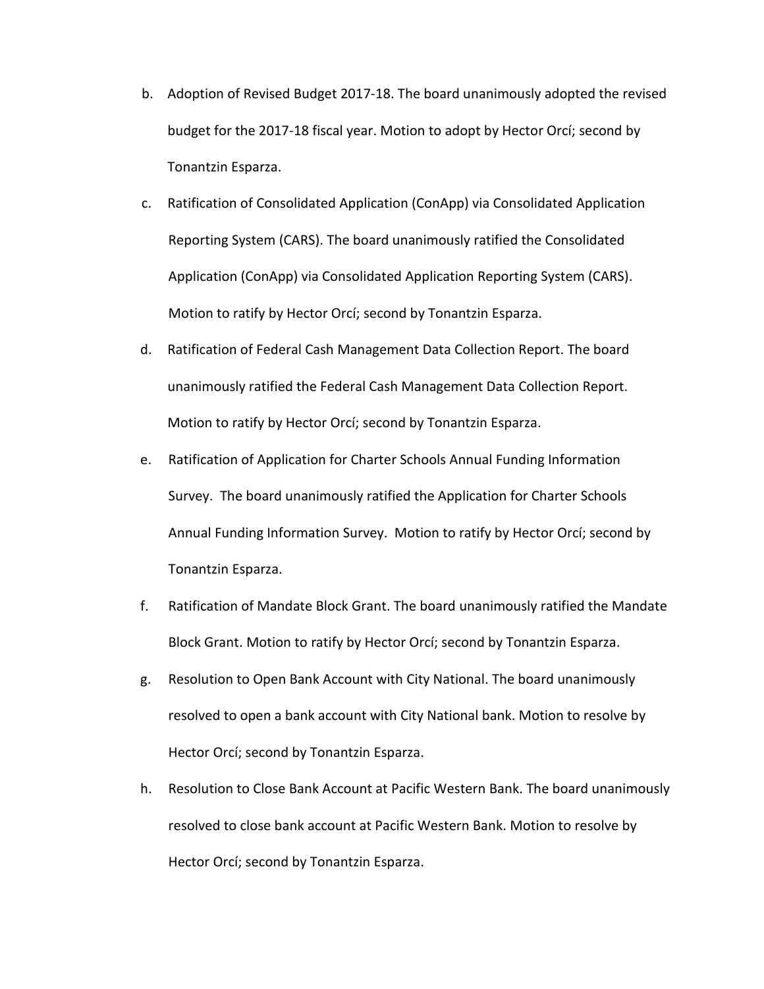- b. Adoption of Revised Budget 2017-18. The board unanimously adopted the revised budget for the 2017-18 fiscal year. Motion to adopt by Hector Orcí; second by Tonantzin Esparza.
- c. Ratification of Consolidated Application (ConApp) via Consolidated Application Reporting System (CARS). The board unanimously ratified the Consolidated Application (ConApp) via Consolidated Application Reporting System (CARS). Motion to ratify by Hector Orcí; second by Tonantzin Esparza.
- d. Ratification of Federal Cash Management Data Collection Report. The board unanimously ratified the Federal Cash Management Data Collection Report. Motion to ratify by Hector Orcí; second by Tonantzin Esparza.
- e. Ratification of Application for Charter Schools Annual Funding Information Survey. The board unanimously ratified the Application for Charter Schools Annual Funding Information Survey. Motion to ratify by Hector Orcí; second by Tonantzin Esparza.
- f. Ratification of Mandate Block Grant. The board unanimously ratified the Mandate Block Grant. Motion to ratify by Hector Orcí; second by Tonantzin Esparza.
- g. Resolution to Open Bank Account with City National. The board unanimously resolved to open a bank account with City National bank. Motion to resolve by Hector Orcí; second by Tonantzin Esparza.
- h. Resolution to Close Bank Account at Pacific Western Bank. The board unanimously resolved to close bank account at Pacific Western Bank. Motion to resolve by Hector Orcí; second by Tonantzin Esparza.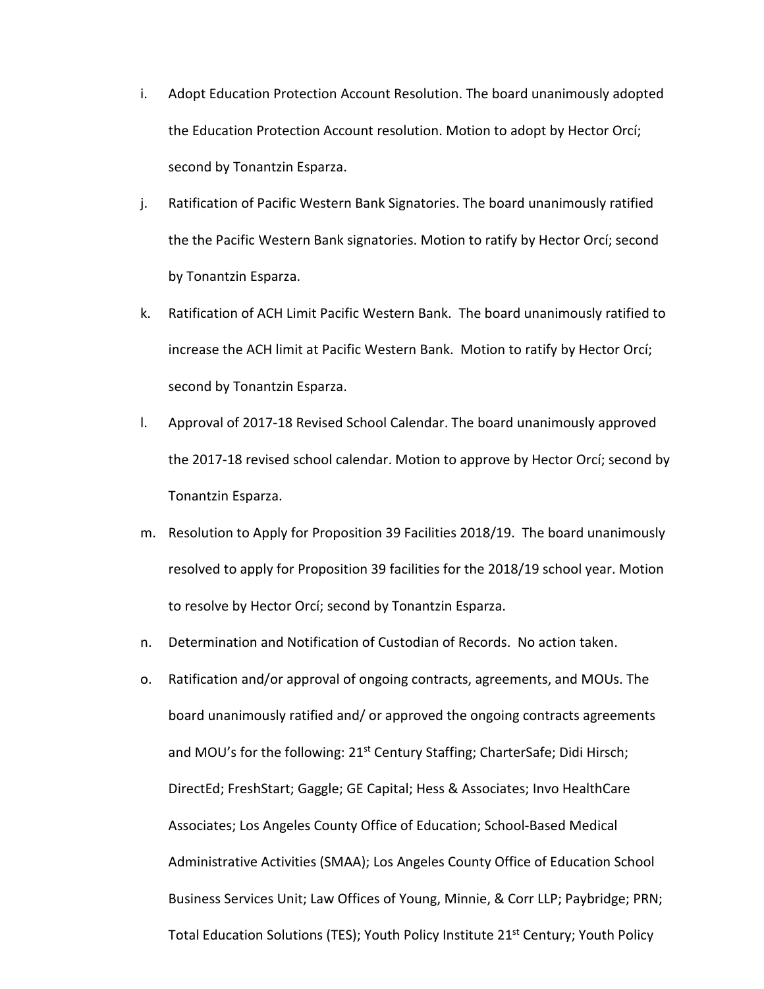- i. Adopt Education Protection Account Resolution. The board unanimously adopted the Education Protection Account resolution. Motion to adopt by Hector Orcí; second by Tonantzin Esparza.
- j. Ratification of Pacific Western Bank Signatories. The board unanimously ratified the the Pacific Western Bank signatories. Motion to ratify by Hector Orcí; second by Tonantzin Esparza.
- k. Ratification of ACH Limit Pacific Western Bank. The board unanimously ratified to increase the ACH limit at Pacific Western Bank. Motion to ratify by Hector Orcí; second by Tonantzin Esparza.
- l. Approval of 2017-18 Revised School Calendar. The board unanimously approved the 2017-18 revised school calendar. Motion to approve by Hector Orcí; second by Tonantzin Esparza.
- m. Resolution to Apply for Proposition 39 Facilities 2018/19. The board unanimously resolved to apply for Proposition 39 facilities for the 2018/19 school year. Motion to resolve by Hector Orcí; second by Tonantzin Esparza.
- n. Determination and Notification of Custodian of Records. No action taken.
- o. Ratification and/or approval of ongoing contracts, agreements, and MOUs. The board unanimously ratified and/ or approved the ongoing contracts agreements and MOU's for the following: 21<sup>st</sup> Century Staffing; CharterSafe; Didi Hirsch; DirectEd; FreshStart; Gaggle; GE Capital; Hess & Associates; Invo HealthCare Associates; Los Angeles County Office of Education; School-Based Medical Administrative Activities (SMAA); Los Angeles County Office of Education School Business Services Unit; Law Offices of Young, Minnie, & Corr LLP; Paybridge; PRN; Total Education Solutions (TES); Youth Policy Institute 21<sup>st</sup> Century; Youth Policy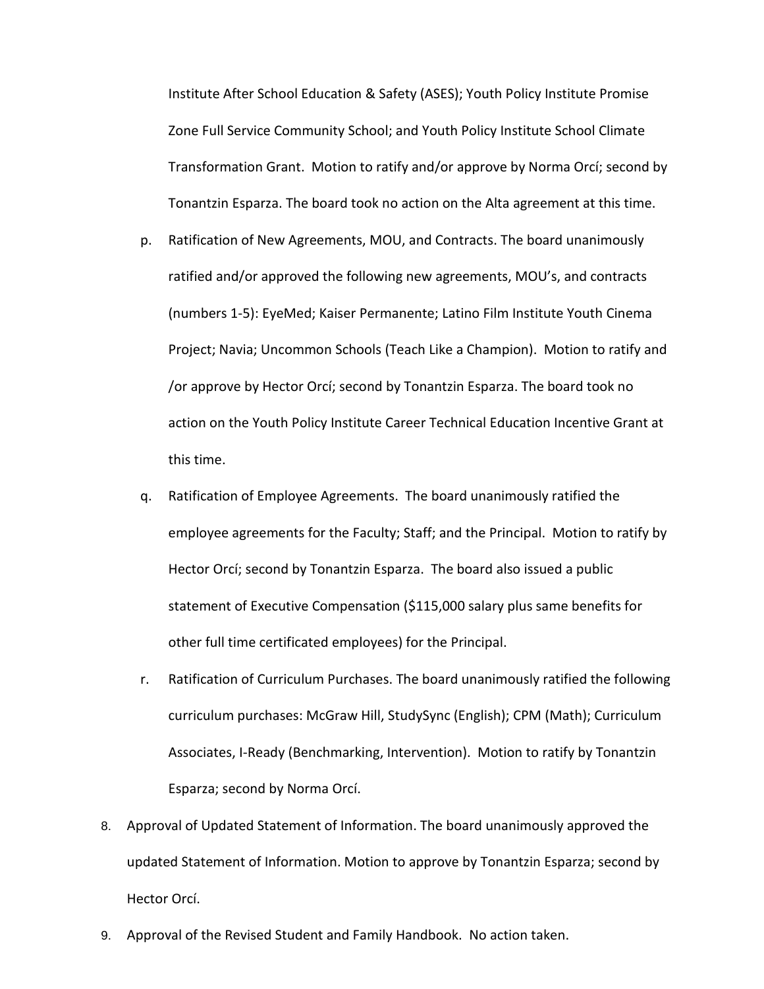Institute After School Education & Safety (ASES); Youth Policy Institute Promise Zone Full Service Community School; and Youth Policy Institute School Climate Transformation Grant. Motion to ratify and/or approve by Norma Orcí; second by Tonantzin Esparza. The board took no action on the Alta agreement at this time.

- p. Ratification of New Agreements, MOU, and Contracts. The board unanimously ratified and/or approved the following new agreements, MOU's, and contracts (numbers 1-5): EyeMed; Kaiser Permanente; Latino Film Institute Youth Cinema Project; Navia; Uncommon Schools (Teach Like a Champion). Motion to ratify and /or approve by Hector Orcí; second by Tonantzin Esparza. The board took no action on the Youth Policy Institute Career Technical Education Incentive Grant at this time.
- q. Ratification of Employee Agreements. The board unanimously ratified the employee agreements for the Faculty; Staff; and the Principal. Motion to ratify by Hector Orcí; second by Tonantzin Esparza. The board also issued a public statement of Executive Compensation (\$115,000 salary plus same benefits for other full time certificated employees) for the Principal.
- r. Ratification of Curriculum Purchases. The board unanimously ratified the following curriculum purchases: McGraw Hill, StudySync (English); CPM (Math); Curriculum Associates, I-Ready (Benchmarking, Intervention). Motion to ratify by Tonantzin Esparza; second by Norma Orcí.
- 8. Approval of Updated Statement of Information. The board unanimously approved the updated Statement of Information. Motion to approve by Tonantzin Esparza; second by Hector Orcí.
- 9. Approval of the Revised Student and Family Handbook. No action taken.